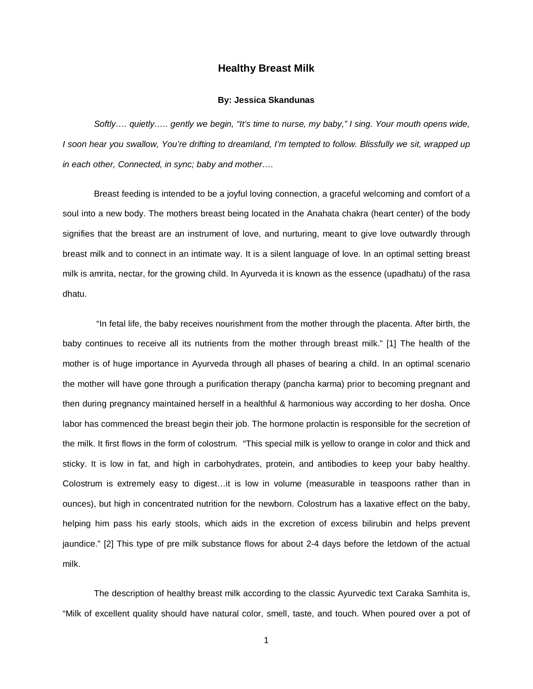## **Healthy Breast Milk**

#### **By: Jessica Skandunas**

*Softly…. quietly….. gently we begin, "It's time to nurse, my baby," I sing. Your mouth opens wide, I soon hear you swallow, You're drifting to dreamland, I'm tempted to follow. Blissfully we sit, wrapped up in each other, Connected, in sync; baby and mother….*

Breast feeding is intended to be a joyful loving connection, a graceful welcoming and comfort of a soul into a new body. The mothers breast being located in the Anahata chakra (heart center) of the body signifies that the breast are an instrument of love, and nurturing, meant to give love outwardly through breast milk and to connect in an intimate way. It is a silent language of love. In an optimal setting breast milk is amrita, nectar, for the growing child. In Ayurveda it is known as the essence (upadhatu) of the rasa dhatu.

"In fetal life, the baby receives nourishment from the mother through the placenta. After birth, the baby continues to receive all its nutrients from the mother through breast milk." [1] The health of the mother is of huge importance in Ayurveda through all phases of bearing a child. In an optimal scenario the mother will have gone through a purification therapy (pancha karma) prior to becoming pregnant and then during pregnancy maintained herself in a healthful & harmonious way according to her dosha. Once labor has commenced the breast begin their job. The hormone prolactin is responsible for the secretion of the milk. It first flows in the form of colostrum. "This special milk is yellow to orange in color and thick and sticky. It is low in fat, and high in carbohydrates, protein, and antibodies to keep your baby healthy. Colostrum is extremely easy to digest…it is low in volume (measurable in teaspoons rather than in ounces), but high in concentrated nutrition for the newborn. Colostrum has a laxative effect on the baby, helping him pass his early stools, which aids in the excretion of excess bilirubin and helps prevent jaundice." [2] This type of pre milk substance flows for about 2-4 days before the letdown of the actual milk.

The description of healthy breast milk according to the classic Ayurvedic text Caraka Samhita is, "Milk of excellent quality should have natural color, smell, taste, and touch. When poured over a pot of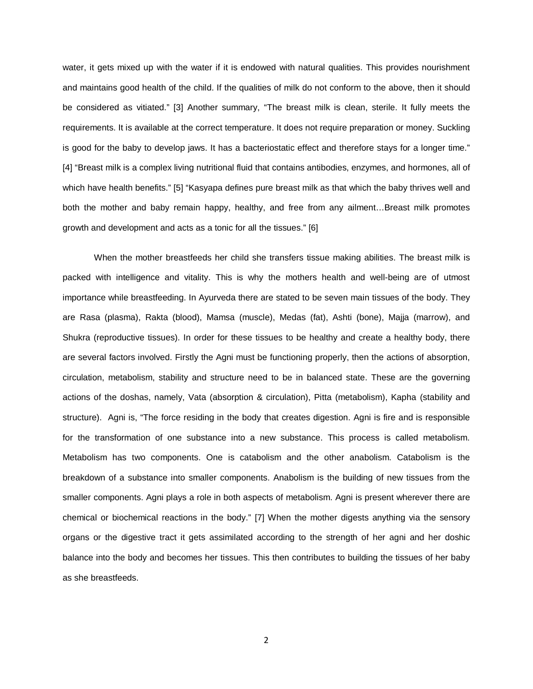water, it gets mixed up with the water if it is endowed with natural qualities. This provides nourishment and maintains good health of the child. If the qualities of milk do not conform to the above, then it should be considered as vitiated." [3] Another summary, "The breast milk is clean, sterile. It fully meets the requirements. It is available at the correct temperature. It does not require preparation or money. Suckling is good for the baby to develop jaws. It has a bacteriostatic effect and therefore stays for a longer time." [4] "Breast milk is a complex living nutritional fluid that contains antibodies, enzymes, and hormones, all of which have health benefits." [5] "Kasyapa defines pure breast milk as that which the baby thrives well and both the mother and baby remain happy, healthy, and free from any ailment…Breast milk promotes growth and development and acts as a tonic for all the tissues." [6]

When the mother breastfeeds her child she transfers tissue making abilities. The breast milk is packed with intelligence and vitality. This is why the mothers health and well-being are of utmost importance while breastfeeding. In Ayurveda there are stated to be seven main tissues of the body. They are Rasa (plasma), Rakta (blood), Mamsa (muscle), Medas (fat), Ashti (bone), Majja (marrow), and Shukra (reproductive tissues). In order for these tissues to be healthy and create a healthy body, there are several factors involved. Firstly the Agni must be functioning properly, then the actions of absorption, circulation, metabolism, stability and structure need to be in balanced state. These are the governing actions of the doshas, namely, Vata (absorption & circulation), Pitta (metabolism), Kapha (stability and structure). Agni is, "The force residing in the body that creates digestion. Agni is fire and is responsible for the transformation of one substance into a new substance. This process is called metabolism. Metabolism has two components. One is catabolism and the other anabolism. Catabolism is the breakdown of a substance into smaller components. Anabolism is the building of new tissues from the smaller components. Agni plays a role in both aspects of metabolism. Agni is present wherever there are chemical or biochemical reactions in the body." [7] When the mother digests anything via the sensory organs or the digestive tract it gets assimilated according to the strength of her agni and her doshic balance into the body and becomes her tissues. This then contributes to building the tissues of her baby as she breastfeeds.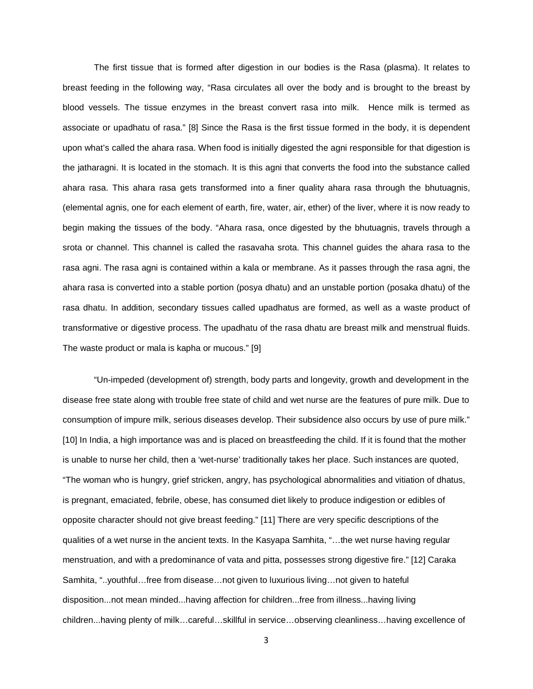The first tissue that is formed after digestion in our bodies is the Rasa (plasma). It relates to breast feeding in the following way, "Rasa circulates all over the body and is brought to the breast by blood vessels. The tissue enzymes in the breast convert rasa into milk. Hence milk is termed as associate or upadhatu of rasa." [8] Since the Rasa is the first tissue formed in the body, it is dependent upon what's called the ahara rasa. When food is initially digested the agni responsible for that digestion is the jatharagni. It is located in the stomach. It is this agni that converts the food into the substance called ahara rasa. This ahara rasa gets transformed into a finer quality ahara rasa through the bhutuagnis, (elemental agnis, one for each element of earth, fire, water, air, ether) of the liver, where it is now ready to begin making the tissues of the body. "Ahara rasa, once digested by the bhutuagnis, travels through a srota or channel. This channel is called the rasavaha srota. This channel guides the ahara rasa to the rasa agni. The rasa agni is contained within a kala or membrane. As it passes through the rasa agni, the ahara rasa is converted into a stable portion (posya dhatu) and an unstable portion (posaka dhatu) of the rasa dhatu. In addition, secondary tissues called upadhatus are formed, as well as a waste product of transformative or digestive process. The upadhatu of the rasa dhatu are breast milk and menstrual fluids. The waste product or mala is kapha or mucous." [9]

"Un-impeded (development of) strength, body parts and longevity, growth and development in the disease free state along with trouble free state of child and wet nurse are the features of pure milk. Due to consumption of impure milk, serious diseases develop. Their subsidence also occurs by use of pure milk." [10] In India, a high importance was and is placed on breastfeeding the child. If it is found that the mother is unable to nurse her child, then a 'wet-nurse' traditionally takes her place. Such instances are quoted, "The woman who is hungry, grief stricken, angry, has psychological abnormalities and vitiation of dhatus, is pregnant, emaciated, febrile, obese, has consumed diet likely to produce indigestion or edibles of opposite character should not give breast feeding." [11] There are very specific descriptions of the qualities of a wet nurse in the ancient texts. In the Kasyapa Samhita, "…the wet nurse having regular menstruation, and with a predominance of vata and pitta, possesses strong digestive fire." [12] Caraka Samhita, "..youthful…free from disease…not given to luxurious living…not given to hateful disposition...not mean minded...having affection for children...free from illness...having living children...having plenty of milk…careful…skillful in service…observing cleanliness…having excellence of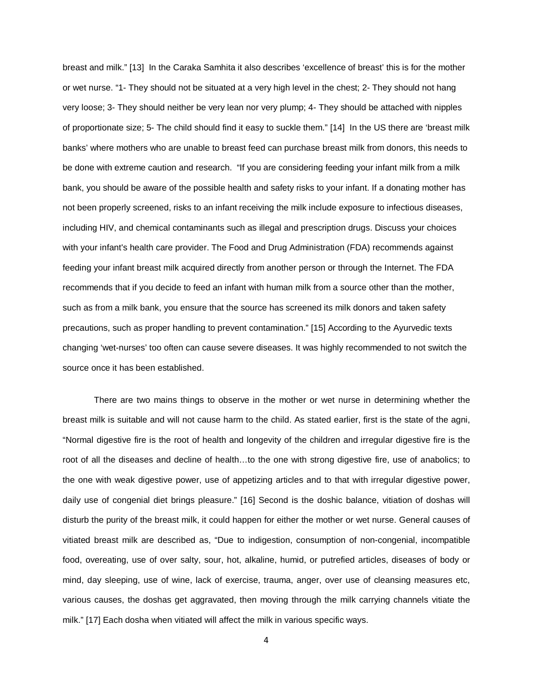breast and milk." [13] In the Caraka Samhita it also describes 'excellence of breast' this is for the mother or wet nurse. "1- They should not be situated at a very high level in the chest; 2- They should not hang very loose; 3- They should neither be very lean nor very plump; 4- They should be attached with nipples of proportionate size; 5- The child should find it easy to suckle them." [14] In the US there are 'breast milk banks' where mothers who are unable to breast feed can purchase breast milk from donors, this needs to be done with extreme caution and research. "If you are considering feeding your infant milk from a milk bank, you should be aware of the possible health and safety risks to your infant. If a donating mother has not been properly screened, risks to an infant receiving the milk include exposure to infectious diseases, including HIV, and chemical contaminants such as illegal and prescription drugs. Discuss your choices with your infant's health care provider. The Food and Drug Administration (FDA) recommends against feeding your infant breast milk acquired directly from another person or through the Internet. The FDA recommends that if you decide to feed an infant with human milk from a source other than the mother, such as from a milk bank, you ensure that the source has screened its milk donors and taken safety precautions, such as proper handling to prevent contamination." [15] According to the Ayurvedic texts changing 'wet-nurses' too often can cause severe diseases. It was highly recommended to not switch the source once it has been established.

There are two mains things to observe in the mother or wet nurse in determining whether the breast milk is suitable and will not cause harm to the child. As stated earlier, first is the state of the agni, "Normal digestive fire is the root of health and longevity of the children and irregular digestive fire is the root of all the diseases and decline of health…to the one with strong digestive fire, use of anabolics; to the one with weak digestive power, use of appetizing articles and to that with irregular digestive power, daily use of congenial diet brings pleasure." [16] Second is the doshic balance, vitiation of doshas will disturb the purity of the breast milk, it could happen for either the mother or wet nurse. General causes of vitiated breast milk are described as, "Due to indigestion, consumption of non-congenial, incompatible food, overeating, use of over salty, sour, hot, alkaline, humid, or putrefied articles, diseases of body or mind, day sleeping, use of wine, lack of exercise, trauma, anger, over use of cleansing measures etc, various causes, the doshas get aggravated, then moving through the milk carrying channels vitiate the milk." [17] Each dosha when vitiated will affect the milk in various specific ways.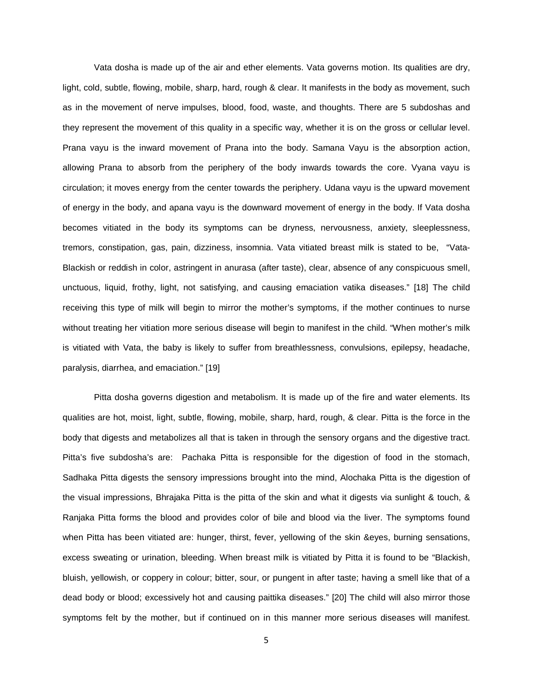Vata dosha is made up of the air and ether elements. Vata governs motion. Its qualities are dry, light, cold, subtle, flowing, mobile, sharp, hard, rough & clear. It manifests in the body as movement, such as in the movement of nerve impulses, blood, food, waste, and thoughts. There are 5 subdoshas and they represent the movement of this quality in a specific way, whether it is on the gross or cellular level. Prana vayu is the inward movement of Prana into the body. Samana Vayu is the absorption action, allowing Prana to absorb from the periphery of the body inwards towards the core. Vyana vayu is circulation; it moves energy from the center towards the periphery. Udana vayu is the upward movement of energy in the body, and apana vayu is the downward movement of energy in the body. If Vata dosha becomes vitiated in the body its symptoms can be dryness, nervousness, anxiety, sleeplessness, tremors, constipation, gas, pain, dizziness, insomnia. Vata vitiated breast milk is stated to be, "Vata-Blackish or reddish in color, astringent in anurasa (after taste), clear, absence of any conspicuous smell, unctuous, liquid, frothy, light, not satisfying, and causing emaciation vatika diseases." [18] The child receiving this type of milk will begin to mirror the mother's symptoms, if the mother continues to nurse without treating her vitiation more serious disease will begin to manifest in the child. "When mother's milk is vitiated with Vata, the baby is likely to suffer from breathlessness, convulsions, epilepsy, headache, paralysis, diarrhea, and emaciation." [19]

Pitta dosha governs digestion and metabolism. It is made up of the fire and water elements. Its qualities are hot, moist, light, subtle, flowing, mobile, sharp, hard, rough, & clear. Pitta is the force in the body that digests and metabolizes all that is taken in through the sensory organs and the digestive tract. Pitta's five subdosha's are: Pachaka Pitta is responsible for the digestion of food in the stomach, Sadhaka Pitta digests the sensory impressions brought into the mind, Alochaka Pitta is the digestion of the visual impressions, Bhrajaka Pitta is the pitta of the skin and what it digests via sunlight & touch, & Ranjaka Pitta forms the blood and provides color of bile and blood via the liver. The symptoms found when Pitta has been vitiated are: hunger, thirst, fever, yellowing of the skin &eyes, burning sensations, excess sweating or urination, bleeding. When breast milk is vitiated by Pitta it is found to be "Blackish, bluish, yellowish, or coppery in colour; bitter, sour, or pungent in after taste; having a smell like that of a dead body or blood; excessively hot and causing paittika diseases." [20] The child will also mirror those symptoms felt by the mother, but if continued on in this manner more serious diseases will manifest.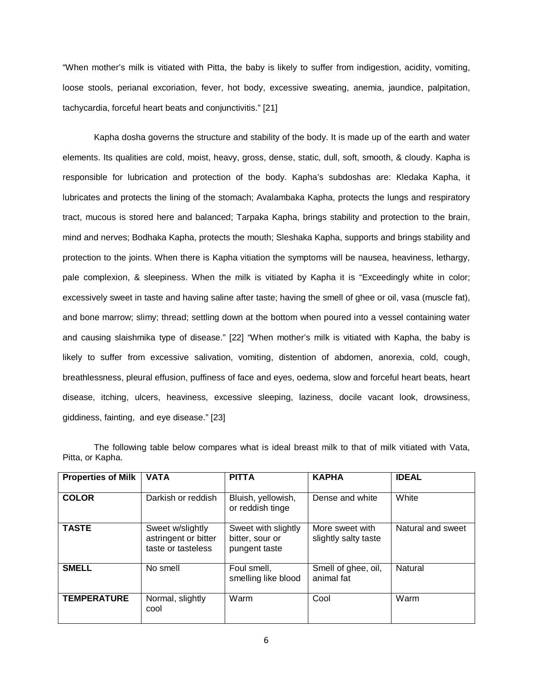"When mother's milk is vitiated with Pitta, the baby is likely to suffer from indigestion, acidity, vomiting, loose stools, perianal excoriation, fever, hot body, excessive sweating, anemia, jaundice, palpitation, tachycardia, forceful heart beats and conjunctivitis." [21]

Kapha dosha governs the structure and stability of the body. It is made up of the earth and water elements. Its qualities are cold, moist, heavy, gross, dense, static, dull, soft, smooth, & cloudy. Kapha is responsible for lubrication and protection of the body. Kapha's subdoshas are: Kledaka Kapha, it lubricates and protects the lining of the stomach; Avalambaka Kapha, protects the lungs and respiratory tract, mucous is stored here and balanced; Tarpaka Kapha, brings stability and protection to the brain, mind and nerves; Bodhaka Kapha, protects the mouth; Sleshaka Kapha, supports and brings stability and protection to the joints. When there is Kapha vitiation the symptoms will be nausea, heaviness, lethargy, pale complexion, & sleepiness. When the milk is vitiated by Kapha it is "Exceedingly white in color; excessively sweet in taste and having saline after taste; having the smell of ghee or oil, vasa (muscle fat), and bone marrow; slimy; thread; settling down at the bottom when poured into a vessel containing water and causing slaishmika type of disease." [22] "When mother's milk is vitiated with Kapha, the baby is likely to suffer from excessive salivation, vomiting, distention of abdomen, anorexia, cold, cough, breathlessness, pleural effusion, puffiness of face and eyes, oedema, slow and forceful heart beats, heart disease, itching, ulcers, heaviness, excessive sleeping, laziness, docile vacant look, drowsiness, giddiness, fainting, and eye disease." [23]

| <b>Properties of Milk</b> | <b>VATA</b>                                                    | <b>PITTA</b>                                            | <b>KAPHA</b>                            | <b>IDEAL</b>      |
|---------------------------|----------------------------------------------------------------|---------------------------------------------------------|-----------------------------------------|-------------------|
| <b>COLOR</b>              | Darkish or reddish                                             | Bluish, yellowish,<br>or reddish tinge                  | Dense and white                         | White             |
| <b>TASTE</b>              | Sweet w/slightly<br>astringent or bitter<br>taste or tasteless | Sweet with slightly<br>bitter, sour or<br>pungent taste | More sweet with<br>slightly salty taste | Natural and sweet |
| <b>SMELL</b>              | No smell                                                       | Foul smell,<br>smelling like blood                      | Smell of ghee, oil,<br>animal fat       | Natural           |
| <b>TEMPERATURE</b>        | Normal, slightly<br>cool                                       | Warm                                                    | Cool                                    | Warm              |

The following table below compares what is ideal breast milk to that of milk vitiated with Vata, Pitta, or Kapha.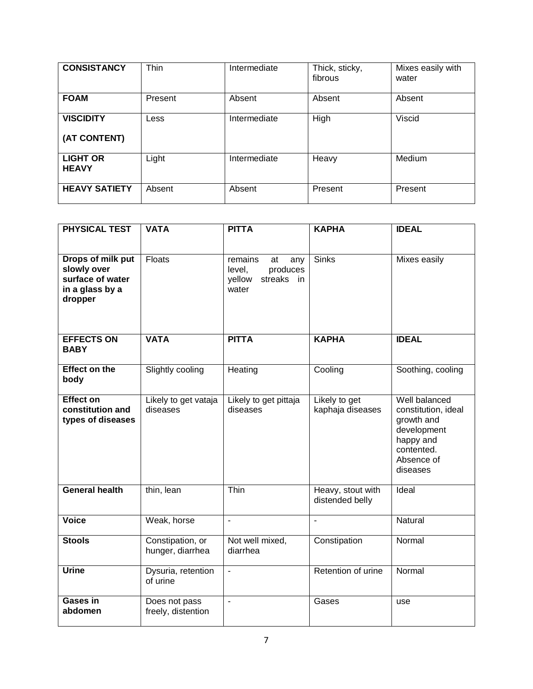| <b>CONSISTANCY</b>               | Thin    | Intermediate | Thick, sticky,<br>fibrous | Mixes easily with<br>water |
|----------------------------------|---------|--------------|---------------------------|----------------------------|
| <b>FOAM</b>                      | Present | Absent       | Absent                    | Absent                     |
| <b>VISCIDITY</b><br>(AT CONTENT) | Less    | Intermediate | High                      | Viscid                     |
| <b>LIGHT OR</b><br><b>HEAVY</b>  | Light   | Intermediate | Heavy                     | Medium                     |
| <b>HEAVY SATIETY</b>             | Absent  | Absent       | Present                   | Present                    |

| <b>PHYSICAL TEST</b>                                                               | <b>VATA</b>                          | <b>PITTA</b>                                                                | <b>KAPHA</b>                         | <b>IDEAL</b>                                                                                                           |
|------------------------------------------------------------------------------------|--------------------------------------|-----------------------------------------------------------------------------|--------------------------------------|------------------------------------------------------------------------------------------------------------------------|
| Drops of milk put<br>slowly over<br>surface of water<br>in a glass by a<br>dropper | Floats                               | remains<br>at<br>any<br>produces<br>level,<br>yellow<br>streaks in<br>water | <b>Sinks</b>                         | Mixes easily                                                                                                           |
| <b>EFFECTS ON</b><br><b>BABY</b>                                                   | <b>VATA</b>                          | <b>PITTA</b>                                                                | <b>KAPHA</b>                         | <b>IDEAL</b>                                                                                                           |
| <b>Effect on the</b><br>body                                                       | <b>Slightly cooling</b>              | Heating                                                                     | Cooling                              | Soothing, cooling                                                                                                      |
| <b>Effect on</b><br>constitution and<br>types of diseases                          | Likely to get vataja<br>diseases     | Likely to get pittaja<br>diseases                                           | Likely to get<br>kaphaja diseases    | Well balanced<br>constitution, ideal<br>growth and<br>development<br>happy and<br>contented.<br>Absence of<br>diseases |
| <b>General health</b>                                                              | thin, lean                           | Thin                                                                        | Heavy, stout with<br>distended belly | Ideal                                                                                                                  |
| <b>Voice</b>                                                                       | Weak, horse                          | $\blacksquare$                                                              | $\blacksquare$                       | Natural                                                                                                                |
| <b>Stools</b>                                                                      | Constipation, or<br>hunger, diarrhea | Not well mixed,<br>diarrhea                                                 | Constipation                         | Normal                                                                                                                 |
| <b>Urine</b>                                                                       | Dysuria, retention<br>of urine       | $\Box$                                                                      | Retention of urine                   | Normal                                                                                                                 |
| Gases in<br>abdomen                                                                | Does not pass<br>freely, distention  | $\blacksquare$                                                              | Gases                                | use                                                                                                                    |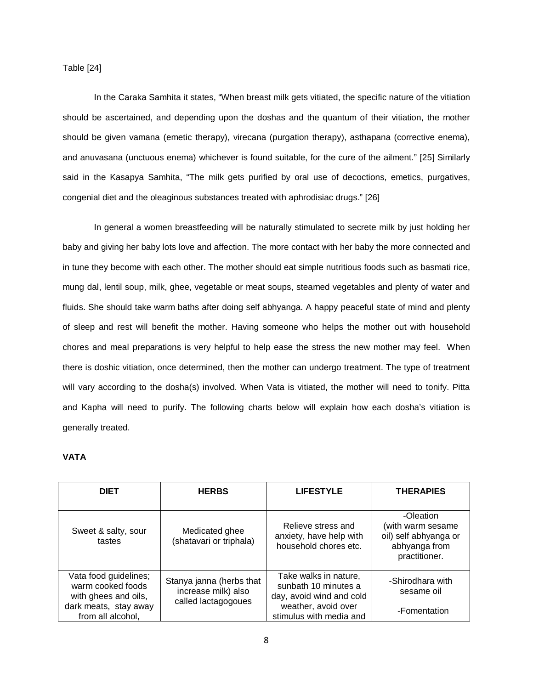Table [24]

In the Caraka Samhita it states, "When breast milk gets vitiated, the specific nature of the vitiation should be ascertained, and depending upon the doshas and the quantum of their vitiation, the mother should be given vamana (emetic therapy), virecana (purgation therapy), asthapana (corrective enema), and anuvasana (unctuous enema) whichever is found suitable, for the cure of the ailment." [25] Similarly said in the Kasapya Samhita, "The milk gets purified by oral use of decoctions, emetics, purgatives, congenial diet and the oleaginous substances treated with aphrodisiac drugs." [26]

In general a women breastfeeding will be naturally stimulated to secrete milk by just holding her baby and giving her baby lots love and affection. The more contact with her baby the more connected and in tune they become with each other. The mother should eat simple nutritious foods such as basmati rice, mung dal, lentil soup, milk, ghee, vegetable or meat soups, steamed vegetables and plenty of water and fluids. She should take warm baths after doing self abhyanga. A happy peaceful state of mind and plenty of sleep and rest will benefit the mother. Having someone who helps the mother out with household chores and meal preparations is very helpful to help ease the stress the new mother may feel. When there is doshic vitiation, once determined, then the mother can undergo treatment. The type of treatment will vary according to the dosha(s) involved. When Vata is vitiated, the mother will need to tonify. Pitta and Kapha will need to purify. The following charts below will explain how each dosha's vitiation is generally treated.

### **VATA**

| <b>DIET</b>                                                                                                      | <b>HERBS</b>                                                           | <b>LIFESTYLE</b>                                                                                                            | <b>THERAPIES</b>                                                                          |
|------------------------------------------------------------------------------------------------------------------|------------------------------------------------------------------------|-----------------------------------------------------------------------------------------------------------------------------|-------------------------------------------------------------------------------------------|
| Sweet & salty, sour<br>tastes                                                                                    | Medicated ghee<br>(shatavari or triphala)                              | Relieve stress and<br>anxiety, have help with<br>household chores etc.                                                      | -Oleation<br>(with warm sesame<br>oil) self abhyanga or<br>abhyanga from<br>practitioner. |
| Vata food guidelines;<br>warm cooked foods<br>with ghees and oils,<br>dark meats, stay away<br>from all alcohol, | Stanya janna (herbs that<br>increase milk) also<br>called lactagogoues | Take walks in nature,<br>sunbath 10 minutes a<br>day, avoid wind and cold<br>weather, avoid over<br>stimulus with media and | -Shirodhara with<br>sesame oil<br>-Fomentation                                            |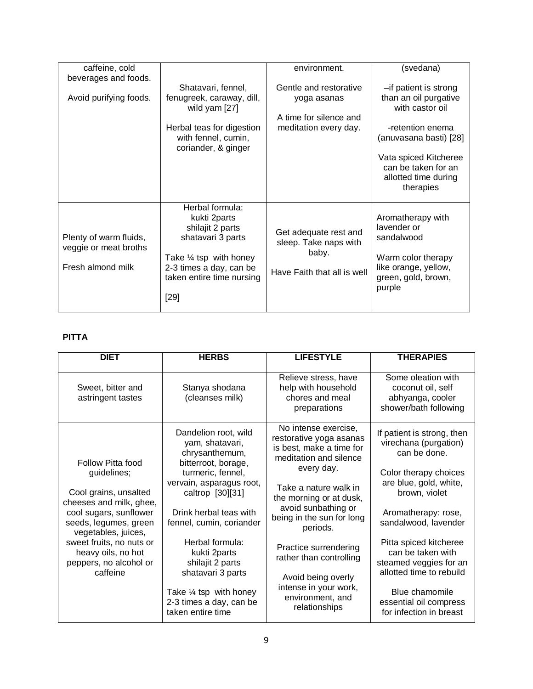| caffeine, cold         |                                                  | environment.                | (svedana)                                |
|------------------------|--------------------------------------------------|-----------------------------|------------------------------------------|
| beverages and foods.   |                                                  |                             |                                          |
|                        | Shatavari, fennel,                               | Gentle and restorative      | -if patient is strong                    |
| Avoid purifying foods. | fenugreek, caraway, dill,<br>wild yam [27]       | yoga asanas                 | than an oil purgative<br>with castor oil |
|                        |                                                  | A time for silence and      |                                          |
|                        |                                                  |                             | -retention enema                         |
|                        | Herbal teas for digestion<br>with fennel, cumin, | meditation every day.       | (anuvasana basti) [28]                   |
|                        | coriander, & ginger                              |                             |                                          |
|                        |                                                  |                             | Vata spiced Kitcheree                    |
|                        |                                                  |                             | can be taken for an                      |
|                        |                                                  |                             | allotted time during                     |
|                        |                                                  |                             | therapies                                |
|                        |                                                  |                             |                                          |
|                        | Herbal formula:                                  |                             |                                          |
|                        | kukti 2parts                                     |                             | Aromatherapy with                        |
|                        | shilajit 2 parts                                 |                             | lavender or                              |
|                        |                                                  | Get adequate rest and       | sandalwood                               |
| Plenty of warm fluids, | shatavari 3 parts                                | sleep. Take naps with       |                                          |
| veggie or meat broths  |                                                  | baby.                       |                                          |
|                        | Take $\frac{1}{4}$ tsp with honey                |                             | Warm color therapy                       |
| Fresh almond milk      | 2-3 times a day, can be                          | Have Faith that all is well | like orange, yellow,                     |
|                        | taken entire time nursing                        |                             | green, gold, brown,                      |
|                        |                                                  |                             | purple                                   |
|                        | $[29]$                                           |                             |                                          |
|                        |                                                  |                             |                                          |
|                        |                                                  |                             |                                          |

# **PITTA**

| <b>DIET</b>                                                                                                                                                                                                                       | <b>HERBS</b>                                                                      | <b>LIFESTYLE</b>                                                                                      | <b>THERAPIES</b>                                                                                  |
|-----------------------------------------------------------------------------------------------------------------------------------------------------------------------------------------------------------------------------------|-----------------------------------------------------------------------------------|-------------------------------------------------------------------------------------------------------|---------------------------------------------------------------------------------------------------|
| Sweet, bitter and<br>astringent tastes                                                                                                                                                                                            | Stanya shodana<br>(cleanses milk)                                                 | Relieve stress, have<br>help with household<br>chores and meal<br>preparations                        | Some oleation with<br>coconut oil, self<br>abhyanga, cooler<br>shower/bath following              |
| Follow Pitta food                                                                                                                                                                                                                 | Dandelion root, wild<br>yam, shatavari,<br>chrysanthemum,<br>bitterroot, borage,  | No intense exercise,<br>restorative yoga asanas<br>is best, make a time for<br>meditation and silence | If patient is strong, then<br>virechana (purgation)<br>can be done.                               |
| guidelines;<br>Cool grains, unsalted<br>cheeses and milk, ghee,<br>cool sugars, sunflower<br>seeds, legumes, green<br>vegetables, juices,<br>sweet fruits, no nuts or<br>heavy oils, no hot<br>peppers, no alcohol or<br>caffeine | turmeric, fennel,<br>vervain, asparagus root,<br>caltrop [30][31]                 | every day.<br>Take a nature walk in<br>the morning or at dusk,                                        | Color therapy choices<br>are blue, gold, white,<br>brown, violet                                  |
|                                                                                                                                                                                                                                   | Drink herbal teas with<br>fennel, cumin, coriander                                | avoid sunbathing or<br>being in the sun for long<br>periods.                                          | Aromatherapy: rose,<br>sandalwood, lavender                                                       |
|                                                                                                                                                                                                                                   | Herbal formula:<br>kukti 2parts<br>shilajit 2 parts<br>shatavari 3 parts          | Practice surrendering<br>rather than controlling                                                      | Pitta spiced kitcheree<br>can be taken with<br>steamed veggies for an<br>allotted time to rebuild |
|                                                                                                                                                                                                                                   | Take $\frac{1}{4}$ tsp with honey<br>2-3 times a day, can be<br>taken entire time | Avoid being overly<br>intense in your work,<br>environment, and<br>relationships                      | Blue chamomile<br>essential oil compress<br>for infection in breast                               |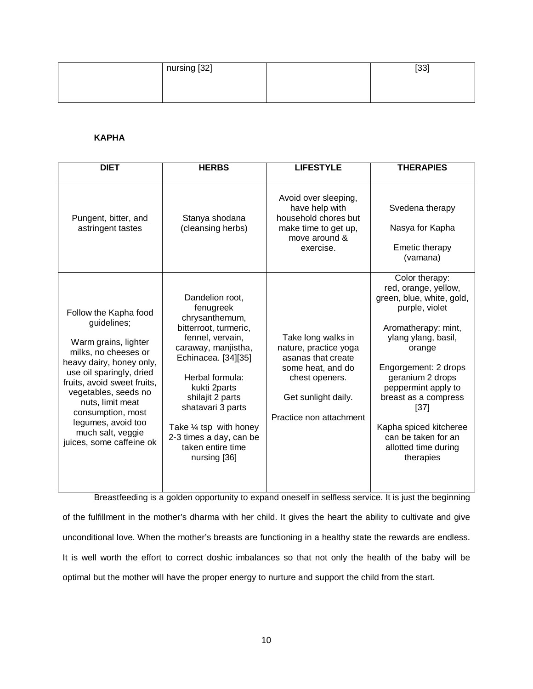| nursing [32] | 1001<br>∪ט |
|--------------|------------|
|              |            |
|              |            |

## **KAPHA**

| <b>DIET</b>                                                                                                                                                                                                                                                                                                         | <b>HERBS</b>                                                                                                                                                                                                                                                                                                     | <b>LIFESTYLE</b>                                                                                                                                           | <b>THERAPIES</b>                                                                                                                                                                                                                                                                                                                       |
|---------------------------------------------------------------------------------------------------------------------------------------------------------------------------------------------------------------------------------------------------------------------------------------------------------------------|------------------------------------------------------------------------------------------------------------------------------------------------------------------------------------------------------------------------------------------------------------------------------------------------------------------|------------------------------------------------------------------------------------------------------------------------------------------------------------|----------------------------------------------------------------------------------------------------------------------------------------------------------------------------------------------------------------------------------------------------------------------------------------------------------------------------------------|
| Pungent, bitter, and<br>astringent tastes                                                                                                                                                                                                                                                                           | Stanya shodana<br>(cleansing herbs)                                                                                                                                                                                                                                                                              | Avoid over sleeping,<br>have help with<br>household chores but<br>make time to get up,<br>move around &<br>exercise.                                       | Svedena therapy<br>Nasya for Kapha<br><b>Emetic therapy</b><br>(vamana)                                                                                                                                                                                                                                                                |
| Follow the Kapha food<br>guidelines;<br>Warm grains, lighter<br>milks, no cheeses or<br>heavy dairy, honey only,<br>use oil sparingly, dried<br>fruits, avoid sweet fruits,<br>vegetables, seeds no<br>nuts, limit meat<br>consumption, most<br>legumes, avoid too<br>much salt, veggie<br>juices, some caffeine ok | Dandelion root.<br>fenugreek<br>chrysanthemum,<br>bitterroot, turmeric,<br>fennel, vervain,<br>caraway, manjistha,<br>Echinacea. [34][35]<br>Herbal formula:<br>kukti 2parts<br>shilajit 2 parts<br>shatavari 3 parts<br>Take 1/4 tsp with honey<br>2-3 times a day, can be<br>taken entire time<br>nursing [36] | Take long walks in<br>nature, practice yoga<br>asanas that create<br>some heat, and do<br>chest openers.<br>Get sunlight daily.<br>Practice non attachment | Color therapy:<br>red, orange, yellow,<br>green, blue, white, gold,<br>purple, violet<br>Aromatherapy: mint,<br>ylang ylang, basil,<br>orange<br>Engorgement: 2 drops<br>geranium 2 drops<br>peppermint apply to<br>breast as a compress<br>[37]<br>Kapha spiced kitcheree<br>can be taken for an<br>allotted time during<br>therapies |

Breastfeeding is a golden opportunity to expand oneself in selfless service. It is just the beginning of the fulfillment in the mother's dharma with her child. It gives the heart the ability to cultivate and give unconditional love. When the mother's breasts are functioning in a healthy state the rewards are endless. It is well worth the effort to correct doshic imbalances so that not only the health of the baby will be optimal but the mother will have the proper energy to nurture and support the child from the start.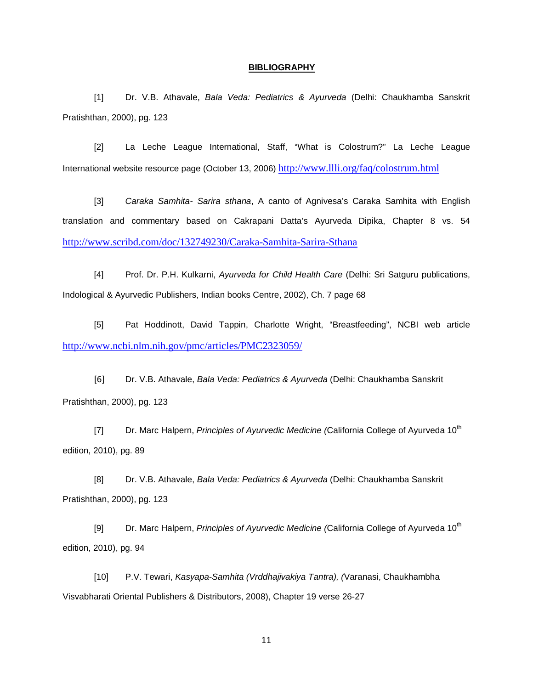### **BIBLIOGRAPHY**

[1] Dr. V.B. Athavale, *Bala Veda: Pediatrics & Ayurveda* (Delhi: Chaukhamba Sanskrit Pratishthan, 2000), pg. 123

[2] La Leche League International, Staff, "What is Colostrum?" La Leche League International website resource page (October 13, 2006) <http://www.llli.org/faq/colostrum.html>

[3] *Caraka Samhita- Sarira sthana*, A canto of Agnivesa's Caraka Samhita with English translation and commentary based on Cakrapani Datta's Ayurveda Dipika, Chapter 8 vs. 54 <http://www.scribd.com/doc/132749230/Caraka-Samhita-Sarira-Sthana>

[4] Prof. Dr. P.H. Kulkarni, *Ayurveda for Child Health Care* (Delhi: Sri Satguru publications, Indological & Ayurvedic Publishers, Indian books Centre, 2002), Ch. 7 page 68

[5] Pat Hoddinott, David Tappin, Charlotte Wright, "Breastfeeding", NCBI web article <http://www.ncbi.nlm.nih.gov/pmc/articles/PMC2323059/>

[6] Dr. V.B. Athavale, *Bala Veda: Pediatrics & Ayurveda* (Delhi: Chaukhamba Sanskrit Pratishthan, 2000), pg. 123

[7] Dr. Marc Halpern, *Principles of Ayurvedic Medicine (California College of Ayurveda 10<sup>th</sup>* edition, 2010), pg. 89

[8] Dr. V.B. Athavale, *Bala Veda: Pediatrics & Ayurveda* (Delhi: Chaukhamba Sanskrit Pratishthan, 2000), pg. 123

[9] Dr. Marc Halpern, *Principles of Ayurvedic Medicine (California College of Ayurveda 10<sup>th</sup>* edition, 2010), pg. 94

[10] P.V. Tewari, *Kasyapa-Samhita (Vrddhajivakiya Tantra), (*Varanasi, Chaukhambha Visvabharati Oriental Publishers & Distributors, 2008), Chapter 19 verse 26-27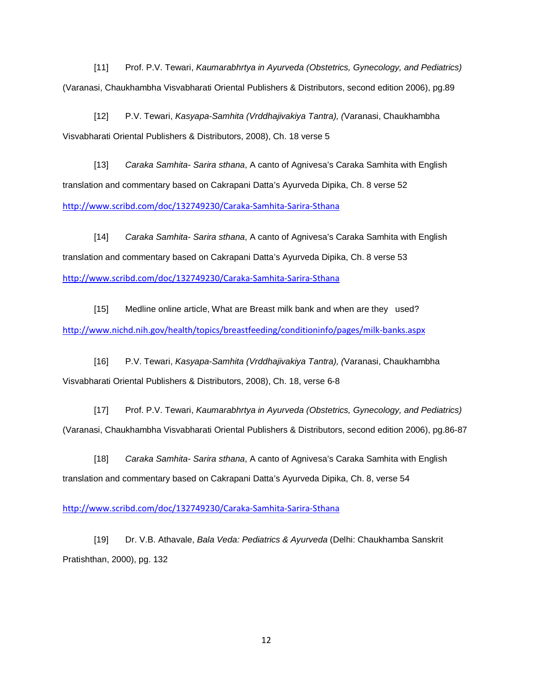[11] Prof. P.V. Tewari, *Kaumarabhrtya in Ayurveda (Obstetrics, Gynecology, and Pediatrics)*  (Varanasi, Chaukhambha Visvabharati Oriental Publishers & Distributors, second edition 2006), pg.89

[12] P.V. Tewari, *Kasyapa-Samhita (Vrddhajivakiya Tantra), (*Varanasi, Chaukhambha Visvabharati Oriental Publishers & Distributors, 2008), Ch. 18 verse 5

[13] *Caraka Samhita- Sarira sthana*, A canto of Agnivesa's Caraka Samhita with English translation and commentary based on Cakrapani Datta's Ayurveda Dipika, Ch. 8 verse 52 <http://www.scribd.com/doc/132749230/Caraka-Samhita-Sarira-Sthana>

[14] *Caraka Samhita- Sarira sthana*, A canto of Agnivesa's Caraka Samhita with English translation and commentary based on Cakrapani Datta's Ayurveda Dipika, Ch. 8 verse 53 <http://www.scribd.com/doc/132749230/Caraka-Samhita-Sarira-Sthana>

[15] Medline online article, What are Breast milk bank and when are they used? <http://www.nichd.nih.gov/health/topics/breastfeeding/conditioninfo/pages/milk-banks.aspx>

[16] P.V. Tewari, *Kasyapa-Samhita (Vrddhajivakiya Tantra), (*Varanasi, Chaukhambha Visvabharati Oriental Publishers & Distributors, 2008), Ch. 18, verse 6-8

[17] Prof. P.V. Tewari, *Kaumarabhrtya in Ayurveda (Obstetrics, Gynecology, and Pediatrics)*  (Varanasi, Chaukhambha Visvabharati Oriental Publishers & Distributors, second edition 2006), pg.86-87

[18] *Caraka Samhita- Sarira sthana*, A canto of Agnivesa's Caraka Samhita with English translation and commentary based on Cakrapani Datta's Ayurveda Dipika, Ch. 8, verse 54

## <http://www.scribd.com/doc/132749230/Caraka-Samhita-Sarira-Sthana>

[19] Dr. V.B. Athavale, *Bala Veda: Pediatrics & Ayurveda* (Delhi: Chaukhamba Sanskrit Pratishthan, 2000), pg. 132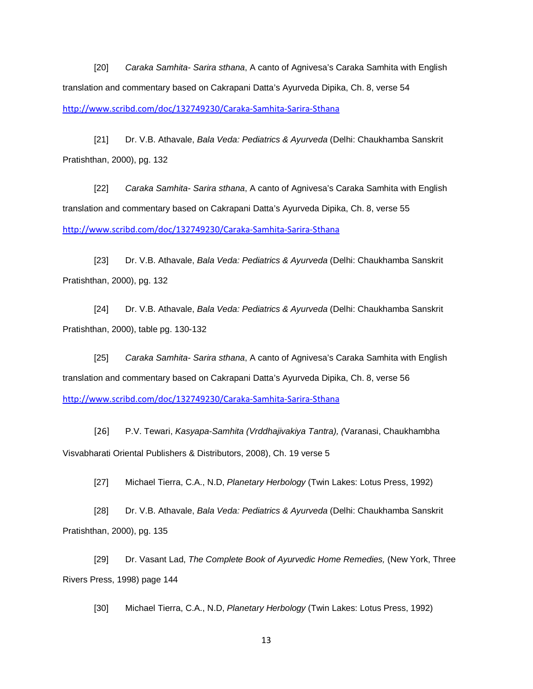[20] *Caraka Samhita- Sarira sthana*, A canto of Agnivesa's Caraka Samhita with English translation and commentary based on Cakrapani Datta's Ayurveda Dipika, Ch. 8, verse 54 <http://www.scribd.com/doc/132749230/Caraka-Samhita-Sarira-Sthana>

[21] Dr. V.B. Athavale, *Bala Veda: Pediatrics & Ayurveda* (Delhi: Chaukhamba Sanskrit Pratishthan, 2000), pg. 132

[22] *Caraka Samhita- Sarira sthana*, A canto of Agnivesa's Caraka Samhita with English translation and commentary based on Cakrapani Datta's Ayurveda Dipika, Ch. 8, verse 55 <http://www.scribd.com/doc/132749230/Caraka-Samhita-Sarira-Sthana>

[23] Dr. V.B. Athavale, *Bala Veda: Pediatrics & Ayurveda* (Delhi: Chaukhamba Sanskrit Pratishthan, 2000), pg. 132

[24] Dr. V.B. Athavale, *Bala Veda: Pediatrics & Ayurveda* (Delhi: Chaukhamba Sanskrit Pratishthan, 2000), table pg. 130-132

[25] *Caraka Samhita- Sarira sthana*, A canto of Agnivesa's Caraka Samhita with English translation and commentary based on Cakrapani Datta's Ayurveda Dipika, Ch. 8, verse 56 <http://www.scribd.com/doc/132749230/Caraka-Samhita-Sarira-Sthana>

[26] P.V. Tewari, *Kasyapa-Samhita (Vrddhajivakiya Tantra), (*Varanasi, Chaukhambha Visvabharati Oriental Publishers & Distributors, 2008), Ch. 19 verse 5

[27] Michael Tierra, C.A., N.D, *Planetary Herbology* (Twin Lakes: Lotus Press, 1992)

[28] Dr. V.B. Athavale, *Bala Veda: Pediatrics & Ayurveda* (Delhi: Chaukhamba Sanskrit Pratishthan, 2000), pg. 135

[29] Dr. Vasant Lad, *The Complete Book of Ayurvedic Home Remedies,* (New York, Three Rivers Press, 1998) page 144

[30] Michael Tierra, C.A., N.D, *Planetary Herbology* (Twin Lakes: Lotus Press, 1992)